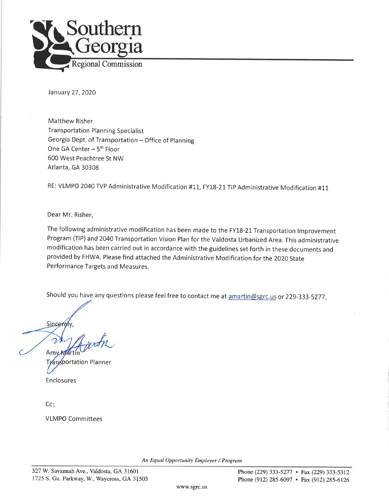

January 27, 2020

Matthew Risher **Transportation Planning Specialist** Georgia Dept. of Transportation - Office of Planning One GA Center - 5<sup>th</sup> Floor 600 West Peachtree St NW Atlanta, GA 30308

RE: VLMPO 2040 TVP Administrative Modification #11, FY18-21 TIP Administrative Modification #11

Dear Mr. Risher,

The following administrative modification has been made to the FY18-21 Transportation Improvement Program (TIP) and 2040 Transportation Vision Plan for the Valdosta Urbanized Area. This administrative modification has been carried out in accordance with the guidelines set forth in these documents and provided by FHWA. Please find attached the Administrative Modification for the 2020 State Performance Targets and Measures.

Should you have any questions please feel free to contact me at amartin@sgrc.us or 229-333-5277.

Sincerely

Am **Mártí** sportation Planner Enclosures

Cc:

**VLMPO Committees** 

An Equal Opportunity Employer / Program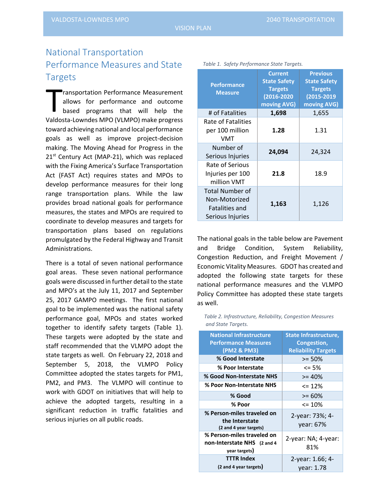## National Transportation Performance Measures and State **Targets**

ransportation Performance Measurement allows for performance and outcome based programs that will help the Valdosta-Lowndes MPO (VLMPO) make progress toward achieving national and local performance goals as well as improve project-decision making. The Moving Ahead for Progress in the 21<sup>st</sup> Century Act (MAP-21), which was replaced with the Fixing America's Surface Transportation Act (FAST Act) requires states and MPOs to develop performance measures for their long range transportation plans. While the law provides broad national goals for performance measures, the states and MPOs are required to coordinate to develop measures and targets for transportation plans based on regulations promulgated by the Federal Highway and Transit Administrations. T<br>Valder

There is a total of seven national performance goal areas. These seven national performance goals were discussed in further detail to the state and MPO's at the July 11, 2017 and September 25, 2017 GAMPO meetings. The first national goal to be implemented was the national safety performance goal, MPOs and states worked together to identify safety targets (Table 1). These targets were adopted by the state and staff recommended that the VLMPO adopt the state targets as well. On February 22, 2018 and September 5, 2018, the VLMPO Policy Committee adopted the states targets for PM1, PM2, and PM3. The VLMPO will continue to work with GDOT on initiatives that will help to achieve the adopted targets, resulting in a significant reduction in traffic fatalities and serious injuries on all public roads.

|                                                                        | <b>Current</b><br><b>State Safety</b>            | <b>Previous</b><br><b>State Safety</b><br><b>Targets</b><br>(2015-2019<br>moving AVG) |  |  |
|------------------------------------------------------------------------|--------------------------------------------------|---------------------------------------------------------------------------------------|--|--|
| <b>Performance</b><br><b>Measure</b>                                   | <b>Targets</b><br>$(2016 - 2020)$<br>moving AVG) |                                                                                       |  |  |
| # of Fatalities                                                        | 1,698                                            | 1,655                                                                                 |  |  |
| Rate of Fatalities<br>per 100 million<br>VMT                           | 1.28                                             | 1.31                                                                                  |  |  |
| Number of<br>Serious Injuries                                          | 24,094                                           | 24,324                                                                                |  |  |
| Rate of Serious<br>Injuries per 100<br>million VMT                     | 21.8                                             | 18.9                                                                                  |  |  |
| Total Number of<br>Non-Motorized<br>Fatalities and<br>Serious Injuries | 1,163                                            | 1,126                                                                                 |  |  |

*Table 1. Safety Performance State Targets.*

The national goals in the table below are Pavement and Bridge Condition, System Reliability, Congestion Reduction, and Freight Movement / Economic Vitality Measures. GDOT has created and adopted the following state targets for these national performance measures and the VLMPO Policy Committee has adopted these state targets as well.

*Table 2. Infrastructure, Reliability, Congestion Measures and State Targets.*

| <b>National Infrastructure</b><br><b>Performance Measures</b><br>(PM2 & PM3) | <b>State Infrastructure,</b><br>Congestion,<br><b>Reliability Targets</b> |
|------------------------------------------------------------------------------|---------------------------------------------------------------------------|
| % Good Interstate                                                            | $>= 50%$                                                                  |
| % Poor Interstate                                                            | $\leq$ 5%                                                                 |
| % Good Non-Interstate NHS                                                    | $>= 40%$                                                                  |
| % Poor Non-Interstate NHS                                                    | $\leq$ 12%                                                                |
| % Good                                                                       | $>= 60\%$                                                                 |
| % Poor                                                                       | $\leq$ 10%                                                                |
| % Person-miles traveled on<br>the Interstate<br>(2 and 4 year targets)       | 2-year: 73%; 4-<br>year: 67%                                              |
| % Person-miles traveled on<br>non-Interstate NHS (2 and 4<br>year targets)   | 2-year: NA; 4-year:<br>81%                                                |
| <b>TTTR Index</b><br>(2 and 4 year targets)                                  | 2-year: 1.66; 4-<br>year: 1.78                                            |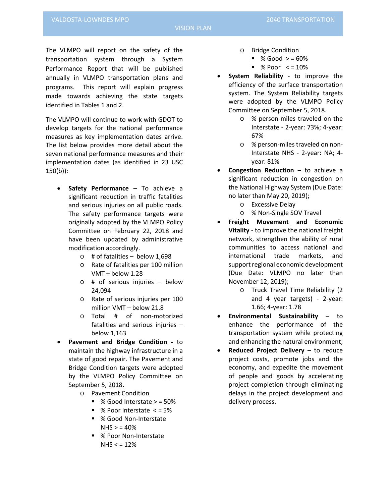The VLMPO will report on the safety of the transportation system through a System Performance Report that will be published annually in VLMPO transportation plans and programs. This report will explain progress made towards achieving the state targets identified in Tables 1 and 2.

The VLMPO will continue to work with GDOT to develop targets for the national performance measures as key implementation dates arrive. The list below provides more detail about the seven national performance measures and their implementation dates (as identified in 23 USC 150(b)):

- **Safety Performance** To achieve a significant reduction in traffic fatalities and serious injuries on all public roads. The safety performance targets were originally adopted by the VLMPO Policy Committee on February 22, 2018 and have been updated by administrative modification accordingly.
	- $\circ$  # of fatalities below 1,698
	- o Rate of fatalities per 100 million VMT – below 1.28
	- o # of serious injuries below 24,094
	- o Rate of serious injuries per 100 million VMT – below 21.8
	- o Total # of non-motorized fatalities and serious injuries – below 1,163
- **Pavement and Bridge Condition -** to maintain the highway infrastructure in a state of good repair. The Pavement and Bridge Condition targets were adopted by the VLMPO Policy Committee on September 5, 2018.
	- o Pavement Condition
		- % Good Interstate > = 50%
		- $\blacksquare$  % Poor Interstate < = 5%
		- % Good Non-Interstate  $N$ HS  $>$  = 40%
		- % Poor Non-Interstate  $N$ HS  $<$  = 12%
- o Bridge Condition
	- $\degree$  % Good  $>$  = 60%
		- $\degree$  % Poor  $\lt$  = 10%
- **System Reliability** to improve the efficiency of the surface transportation system. The System Reliability targets were adopted by the VLMPO Policy Committee on September 5, 2018.
	- o % person-miles traveled on the Interstate - 2-year: 73%; 4-year: 67%
	- o % person-miles traveled on non-Interstate NHS - 2-year: NA; 4 year: 81%
- **Congestion Reduction** to achieve a significant reduction in congestion on the National Highway System (Due Date: no later than May 20, 2019);
	- o Excessive Delay
	- o % Non-Single SOV Travel
- **Freight Movement and Economic Vitality** - to improve the national freight network, strengthen the ability of rural communities to access national and international trade markets, and support regional economic development (Due Date: VLMPO no later than November 12, 2019);
	- o Truck Travel Time Reliability (2 and 4 year targets) - 2-year: 1.66; 4-year: 1.78
- **Environmental Sustainability** to enhance the performance of the transportation system while protecting and enhancing the natural environment;
- **Reduced Project Delivery**  to reduce project costs, promote jobs and the economy, and expedite the movement of people and goods by accelerating project completion through eliminating delays in the project development and delivery process.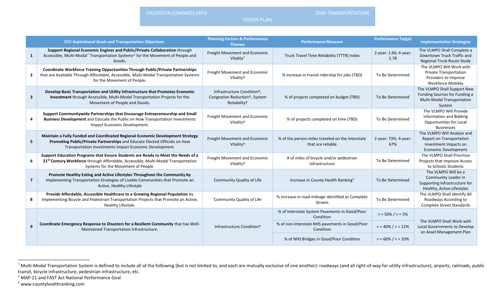VALDOSTA-LOWNDES MPO 2040 TRANSPORTATION

<span id="page-3-2"></span><span id="page-3-1"></span><span id="page-3-0"></span>

VISION PLAN

|                         | <b>CCV Aspirational Goals and Transportation Objectives</b>                                                                                                                                                             | <b>Planning Factors &amp; Performance</b><br><b>Themes</b>                                           | <b>Performance Measure</b>                                            | <b>Performance Target</b>     | <b>Implementation Strategies</b>                                                                               |
|-------------------------|-------------------------------------------------------------------------------------------------------------------------------------------------------------------------------------------------------------------------|------------------------------------------------------------------------------------------------------|-----------------------------------------------------------------------|-------------------------------|----------------------------------------------------------------------------------------------------------------|
| $\mathbf{1}$            | Support Regional Economic Engines and Public/Private Collaboration through<br>Accessible, Multi-Modal* Transportation Systems^ for the Movement of People and<br>Goods.                                                 | Freight Movement and Economic<br>Vitality <sup>+</sup>                                               | Truck Travel Time Reliability (TTTR) Index                            | 2-year: 1.66; 4-year:<br>1.78 | The VLMPO Shall Complete a<br>Downtown Truck Traffic and<br><b>Regional Truck Route Study</b>                  |
| $\overline{2}$          | Coordinate Workforce Training Opportunities Through Public/Private Partnerships<br>that are Available Through Affordable, Accessible, Multi-Modal Transportation Systems<br>for the Movement of People.                 | Freight Movement and Economic<br>Vitality <sup>+</sup>                                               | % increase in transit ridership for jobs (TBD)                        | To Be Determined              | The VLMPO Will Work with<br><b>Private Transportation</b><br>Providers to Improve<br><b>Workforce Mobility</b> |
| $\overline{\mathbf{3}}$ | Develop Basic Transportation and Utility Infrastructure that Promotes Economic<br>Investment through Accessible, Multi-Modal Transportation Projects for the<br>Movement of People and Goods.                           | Infrastructure Condition+,<br>Congestion Reduction <sup>+</sup> , System<br>Reliability <sup>+</sup> | % of projects completed on budget (TBD)                               | To Be Determined              | The VLMPO Shall Support New<br>Funding Sources for Funding a<br><b>Multi-Modal Transportation</b><br>System    |
| 4                       | Support Communitywide Partnerships that Encourage Entrepreneurship and Small<br>Business Development and Educate the Public on How Transportation Investments<br>Impact Economic Development.                           | Freight Movement and Economic<br>Vitality <sup>+</sup>                                               | % of projects completed on time (TBD)                                 | To Be Determined              | The VLMPO Will Provide<br><b>Information and Bidding</b><br>Opportunities for Local<br><b>Businesses</b>       |
| 5                       | Maintain a Fully Funded and Coordinated Regional Economic Development Strategy<br>Promoting Public/Private Partnerships and Educate Elected Officials on How<br>Transportation Investments Impact Economic Development. | Freight Movement and Economic<br>Vitality <sup>+</sup>                                               | % of the person-miles traveled on the Interstate<br>that are reliable | 2-year: 73%; 4-year:<br>67%   | The VLMPO Will Analyze and<br>Report on Transportation<br>Investment Impacts on<br><b>Economic Development</b> |
| 6                       | Support Education Programs that Ensure Students are Ready to Meet the Needs of a<br>21st Century Workforce through Affordable, Accessible, Multi-Modal Transportation<br>Systems for the Movement of People.            | Freight Movement and Economic<br>Vitality <sup>+</sup>                                               | # of miles of bicycle and/or pedestrian<br>infrastructure             | To Be Determined              | The VLMPO Shall Prioritize<br>Projects that Improve Access<br>to Schools Students                              |
| $\overline{\mathbf{z}}$ | Promote Healthy Eating and Active Lifestyles Throughout the Community by<br>Implementing Transportation Strategies of Livable Communities that Promote an<br>Active, Healthy Lifestyle                                  | Community Quality of Life                                                                            | Increase in County Health Ranking <sup>#</sup>                        | To Be Determined              | The VLMPO Will be a<br>Community Leader in<br>Supporting Infrastructure for<br>Healthy, Active Lifestyles      |
| 8                       | Provide Affordable, Accessible Healthcare to a Growing Regional Population by<br>Implementing Bicycle and Pedestrian Transportation Projects that Promote an Active,<br>Healthy Lifestyle.                              | Community Quality of Life                                                                            | % increase in road mileage identified as Complete<br><b>Streets</b>   | To Be Determined              | The VLMPO Shall Identify All<br>Roadways According to<br><b>Complete Street Standards</b>                      |
|                         |                                                                                                                                                                                                                         |                                                                                                      | % of Interstate System Pavements in Good/Poor<br>Condition            | $>$ = 50% / < = 5%            |                                                                                                                |
| 9                       | Coordinate Emergency Response to Disasters for a Resilient Community that has Well-<br>Maintained Transportation Infrastructure.                                                                                        | Infrastructure Condition+                                                                            | % of non-Interstate NHS pavements in Good/Poor<br>Condition           | $> 40\% / 5 = 12\%$           | The VLMPO Shall Work with<br><b>Local Governments to Develop</b><br>an Asset Management Plan                   |
|                         |                                                                                                                                                                                                                         |                                                                                                      | % of NHS Bridges in Good/Poor Condition                               | $> 50\% / 5 = 10\%$           |                                                                                                                |

 $t$  MAP-21 and FAST Act National Performance Goal

‡ www.countyhealthranking.com

<sup>\*</sup> Multi-Modal Transportation System is defined to include all of the following (but is not limited to, and each are mutually exclusive of one another): roadways (and all right-of-way for utility infrastructure), airports,